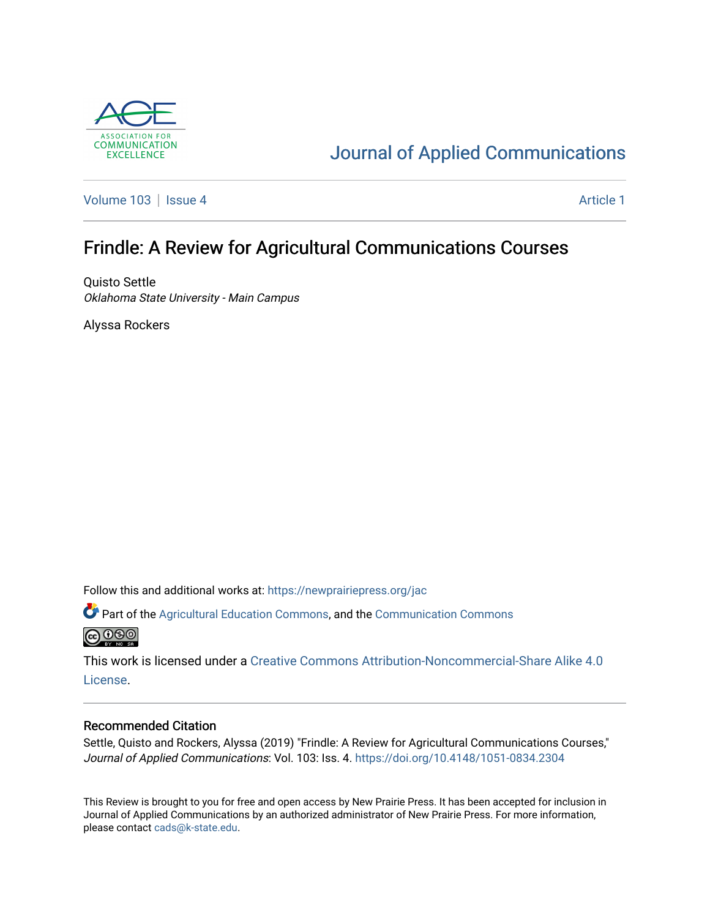

# [Journal of Applied Communications](https://newprairiepress.org/jac)

[Volume 103](https://newprairiepress.org/jac/vol103) | [Issue 4](https://newprairiepress.org/jac/vol103/iss4) Article 1

## Frindle: A Review for Agricultural Communications Courses

Quisto Settle Oklahoma State University - Main Campus

Alyssa Rockers

Follow this and additional works at: [https://newprairiepress.org/jac](https://newprairiepress.org/jac?utm_source=newprairiepress.org%2Fjac%2Fvol103%2Fiss4%2F1&utm_medium=PDF&utm_campaign=PDFCoverPages)

Part of the [Agricultural Education Commons,](http://network.bepress.com/hgg/discipline/1231?utm_source=newprairiepress.org%2Fjac%2Fvol103%2Fiss4%2F1&utm_medium=PDF&utm_campaign=PDFCoverPages) and the [Communication Commons](http://network.bepress.com/hgg/discipline/325?utm_source=newprairiepress.org%2Fjac%2Fvol103%2Fiss4%2F1&utm_medium=PDF&utm_campaign=PDFCoverPages)  **@** 00

This work is licensed under a [Creative Commons Attribution-Noncommercial-Share Alike 4.0](https://creativecommons.org/licenses/by-nc-sa/4.0/) [License.](https://creativecommons.org/licenses/by-nc-sa/4.0/)

#### Recommended Citation

Settle, Quisto and Rockers, Alyssa (2019) "Frindle: A Review for Agricultural Communications Courses," Journal of Applied Communications: Vol. 103: Iss. 4.<https://doi.org/10.4148/1051-0834.2304>

This Review is brought to you for free and open access by New Prairie Press. It has been accepted for inclusion in Journal of Applied Communications by an authorized administrator of New Prairie Press. For more information, please contact [cads@k-state.edu.](mailto:cads@k-state.edu)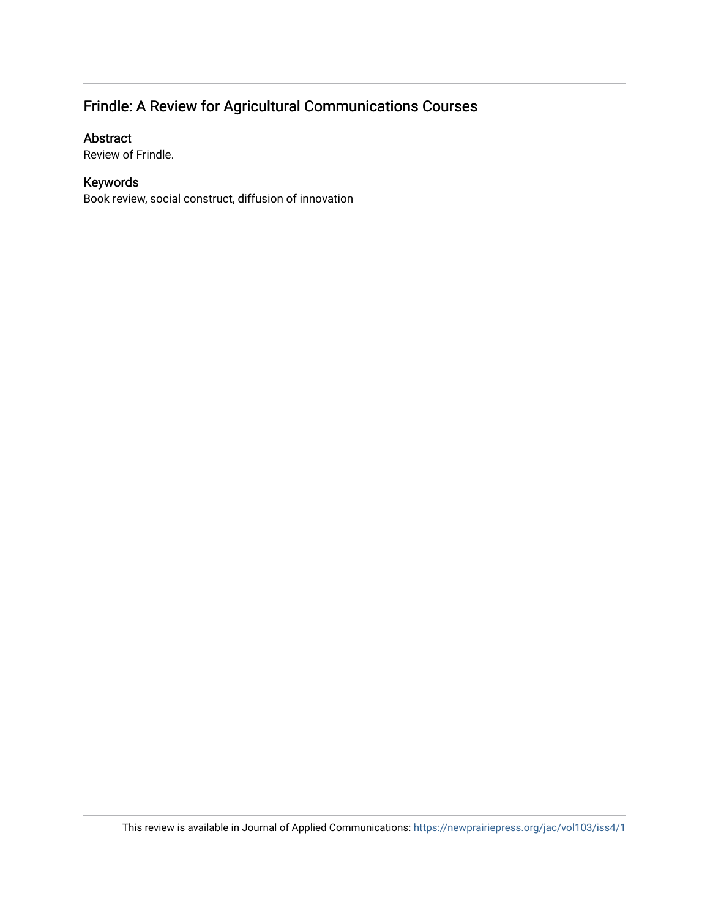## Frindle: A Review for Agricultural Communications Courses

### Abstract

Review of Frindle.

### Keywords

Book review, social construct, diffusion of innovation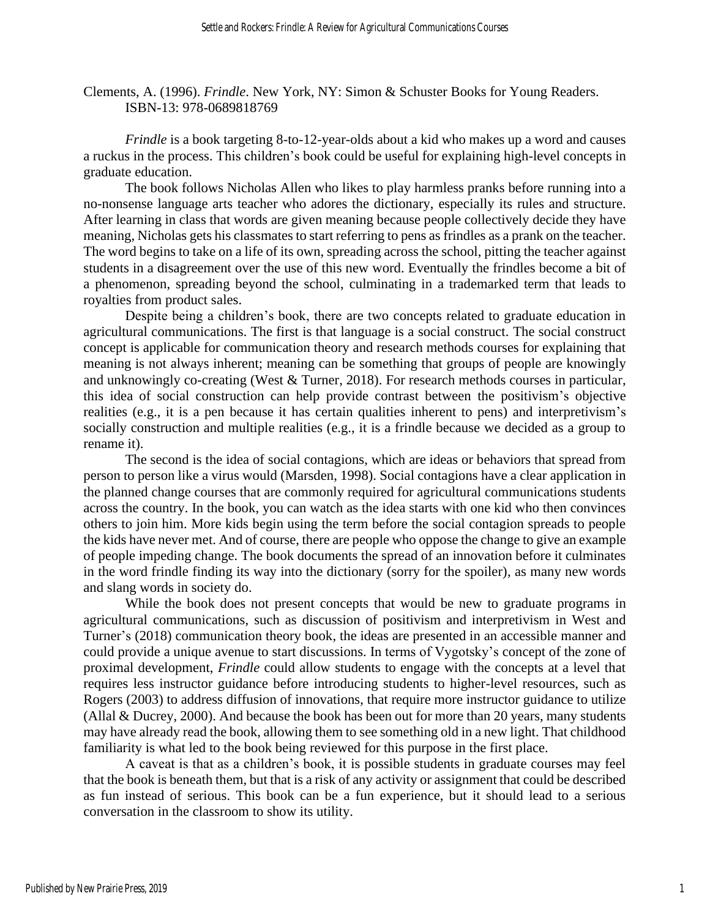Clements, A. (1996). *Frindle*. New York, NY: Simon & Schuster Books for Young Readers. ISBN-13: 978-0689818769

*Frindle* is a book targeting 8-to-12-year-olds about a kid who makes up a word and causes a ruckus in the process. This children's book could be useful for explaining high-level concepts in graduate education.

The book follows Nicholas Allen who likes to play harmless pranks before running into a no-nonsense language arts teacher who adores the dictionary, especially its rules and structure. After learning in class that words are given meaning because people collectively decide they have meaning, Nicholas gets his classmates to start referring to pens as frindles as a prank on the teacher. The word begins to take on a life of its own, spreading across the school, pitting the teacher against students in a disagreement over the use of this new word. Eventually the frindles become a bit of a phenomenon, spreading beyond the school, culminating in a trademarked term that leads to royalties from product sales.

Despite being a children's book, there are two concepts related to graduate education in agricultural communications. The first is that language is a social construct. The social construct concept is applicable for communication theory and research methods courses for explaining that meaning is not always inherent; meaning can be something that groups of people are knowingly and unknowingly co-creating (West & Turner, 2018). For research methods courses in particular, this idea of social construction can help provide contrast between the positivism's objective realities (e.g., it is a pen because it has certain qualities inherent to pens) and interpretivism's socially construction and multiple realities (e.g., it is a frindle because we decided as a group to rename it).

The second is the idea of social contagions, which are ideas or behaviors that spread from person to person like a virus would (Marsden, 1998). Social contagions have a clear application in the planned change courses that are commonly required for agricultural communications students across the country. In the book, you can watch as the idea starts with one kid who then convinces others to join him. More kids begin using the term before the social contagion spreads to people the kids have never met. And of course, there are people who oppose the change to give an example of people impeding change. The book documents the spread of an innovation before it culminates in the word frindle finding its way into the dictionary (sorry for the spoiler), as many new words and slang words in society do.

While the book does not present concepts that would be new to graduate programs in agricultural communications, such as discussion of positivism and interpretivism in West and Turner's (2018) communication theory book, the ideas are presented in an accessible manner and could provide a unique avenue to start discussions. In terms of Vygotsky's concept of the zone of proximal development, *Frindle* could allow students to engage with the concepts at a level that requires less instructor guidance before introducing students to higher-level resources, such as Rogers (2003) to address diffusion of innovations, that require more instructor guidance to utilize (Allal & Ducrey, 2000). And because the book has been out for more than 20 years, many students may have already read the book, allowing them to see something old in a new light. That childhood familiarity is what led to the book being reviewed for this purpose in the first place.

A caveat is that as a children's book, it is possible students in graduate courses may feel that the book is beneath them, but that is a risk of any activity or assignment that could be described as fun instead of serious. This book can be a fun experience, but it should lead to a serious conversation in the classroom to show its utility.